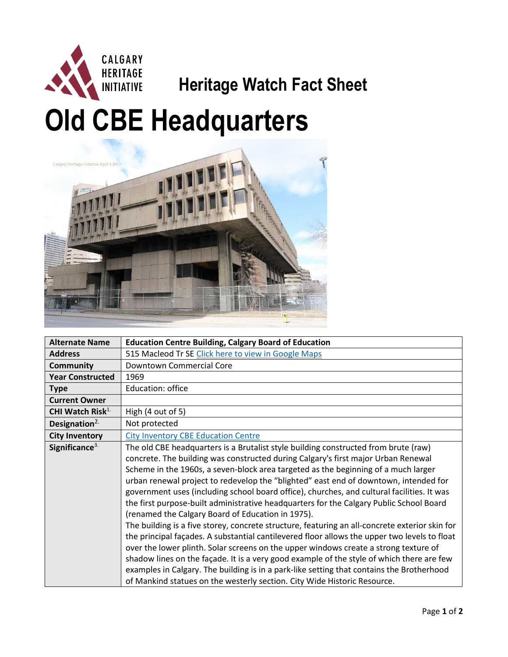

## **Heritage Watch Fact Sheet**

## **Old CBE Headquarters**



| <b>Alternate Name</b>        | <b>Education Centre Building, Calgary Board of Education</b>                                                                                                                                                                                                                                                                                                                                                                                                                                                                                                                                                                                                                                                                                                                                                                                                                                                                                                                                                                                                                                                                                                         |
|------------------------------|----------------------------------------------------------------------------------------------------------------------------------------------------------------------------------------------------------------------------------------------------------------------------------------------------------------------------------------------------------------------------------------------------------------------------------------------------------------------------------------------------------------------------------------------------------------------------------------------------------------------------------------------------------------------------------------------------------------------------------------------------------------------------------------------------------------------------------------------------------------------------------------------------------------------------------------------------------------------------------------------------------------------------------------------------------------------------------------------------------------------------------------------------------------------|
| <b>Address</b>               | 515 Macleod Tr SE Click here to view in Google Maps                                                                                                                                                                                                                                                                                                                                                                                                                                                                                                                                                                                                                                                                                                                                                                                                                                                                                                                                                                                                                                                                                                                  |
| <b>Community</b>             | Downtown Commercial Core                                                                                                                                                                                                                                                                                                                                                                                                                                                                                                                                                                                                                                                                                                                                                                                                                                                                                                                                                                                                                                                                                                                                             |
| <b>Year Constructed</b>      | 1969                                                                                                                                                                                                                                                                                                                                                                                                                                                                                                                                                                                                                                                                                                                                                                                                                                                                                                                                                                                                                                                                                                                                                                 |
| <b>Type</b>                  | Education: office                                                                                                                                                                                                                                                                                                                                                                                                                                                                                                                                                                                                                                                                                                                                                                                                                                                                                                                                                                                                                                                                                                                                                    |
| <b>Current Owner</b>         |                                                                                                                                                                                                                                                                                                                                                                                                                                                                                                                                                                                                                                                                                                                                                                                                                                                                                                                                                                                                                                                                                                                                                                      |
| CHI Watch Risk <sup>1.</sup> | High (4 out of 5)                                                                                                                                                                                                                                                                                                                                                                                                                                                                                                                                                                                                                                                                                                                                                                                                                                                                                                                                                                                                                                                                                                                                                    |
| Designation $2$ .            | Not protected                                                                                                                                                                                                                                                                                                                                                                                                                                                                                                                                                                                                                                                                                                                                                                                                                                                                                                                                                                                                                                                                                                                                                        |
| <b>City Inventory</b>        | <b>City Inventory CBE Education Centre</b>                                                                                                                                                                                                                                                                                                                                                                                                                                                                                                                                                                                                                                                                                                                                                                                                                                                                                                                                                                                                                                                                                                                           |
| Significance $3$ .           | The old CBE headquarters is a Brutalist style building constructed from brute (raw)<br>concrete. The building was constructed during Calgary's first major Urban Renewal<br>Scheme in the 1960s, a seven-block area targeted as the beginning of a much larger<br>urban renewal project to redevelop the "blighted" east end of downtown, intended for<br>government uses (including school board office), churches, and cultural facilities. It was<br>the first purpose-built administrative headquarters for the Calgary Public School Board<br>(renamed the Calgary Board of Education in 1975).<br>The building is a five storey, concrete structure, featuring an all-concrete exterior skin for<br>the principal façades. A substantial cantilevered floor allows the upper two levels to float<br>over the lower plinth. Solar screens on the upper windows create a strong texture of<br>shadow lines on the façade. It is a very good example of the style of which there are few<br>examples in Calgary. The building is in a park-like setting that contains the Brotherhood<br>of Mankind statues on the westerly section. City Wide Historic Resource. |